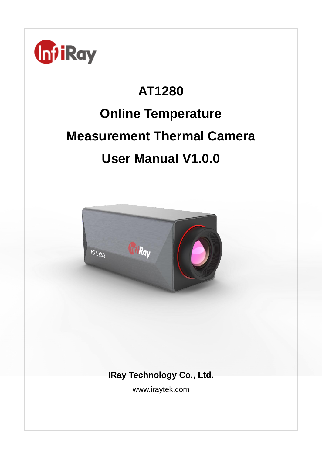

# **AT1280 Online Temperature Measurement Thermal Camera User Manual V1.0.0**



**IRay Technology Co., Ltd.**

www.iraytek.com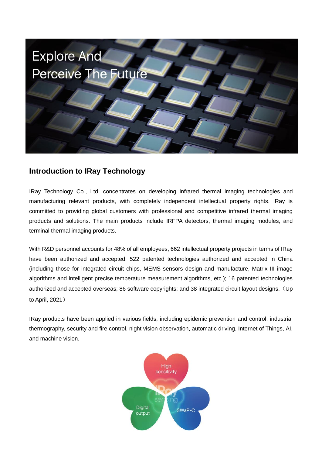

# **Introduction to IRay Technology**

IRay Technology Co., Ltd. concentrates on developing infrared thermal imaging technologies and manufacturing relevant products, with completely independent intellectual property rights. IRay is committed to providing global customers with professional and competitive infrared thermal imaging products and solutions. The main products include IRFPA detectors, thermal imaging modules, and terminal thermal imaging products.

With R&D personnel accounts for 48% of all employees, 662 intellectual property projects in terms of IRay have been authorized and accepted: 522 patented technologies authorized and accepted in China (including those for integrated circuit chips, MEMS sensors design and manufacture, Matrix III image algorithms and intelligent precise temperature measurement algorithms, etc.); 16 patented technologies authorized and accepted overseas; 86 software copyrights; and 38 integrated circuit layout designs. (Up to April, 2021)

IRay products have been applied in various fields, including epidemic prevention and control, industrial thermography, security and fire control, night vision observation, automatic driving, Internet of Things, AI, and machine vision.

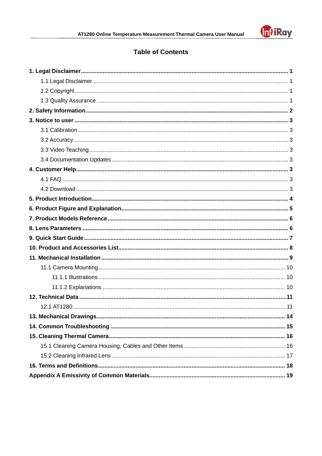

# **Table of Contents**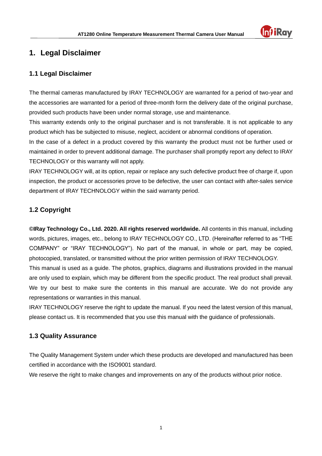

## <span id="page-3-0"></span>**1. Legal Disclaimer**

#### <span id="page-3-1"></span>**1.1 Legal Disclaimer**

The thermal cameras manufactured by IRAY TECHNOLOGY are warranted for a period of two-year and the accessories are warranted for a period of three-month form the delivery date of the original purchase, provided such products have been under normal storage, use and maintenance.

This warranty extends only to the original purchaser and is not transferable. It is not applicable to any product which has be subjected to misuse, neglect, accident or abnormal conditions of operation.

In the case of a defect in a product covered by this warranty the product must not be further used or maintained in order to prevent additional damage. The purchaser shall promptly report any defect to IRAY TECHNOLOGY or this warranty will not apply.

IRAY TECHNOLOGY will, at its option, repair or replace any such defective product free of charge if, upon inspection, the product or accessories prove to be defective, the user can contact with after-sales service department of IRAY TECHNOLOGY within the said warranty period.

### <span id="page-3-2"></span>**1.2 Copyright**

**©IRay Technology Co., Ltd. 2020. All rights reserved worldwide.** All contents in this manual, including words, pictures, images, etc., belong to IRAY TECHNOLOGY CO., LTD. (Hereinafter referred to as "THE COMPANY" or "IRAY TECHNOLOGY"). No part of the manual, in whole or part, may be copied, photocopied, translated, or transmitted without the prior written permission of IRAY TECHNOLOGY. This manual is used as a guide. The photos, graphics, diagrams and illustrations provided in the manual are only used to explain, which may be different from the specific product. The real product shall prevail. We try our best to make sure the contents in this manual are accurate. We do not provide any representations or warranties in this manual.

IRAY TECHNOLOGY reserve the right to update the manual. If you need the latest version of this manual, please contact us. It is recommended that you use this manual with the guidance of professionals.

#### <span id="page-3-3"></span>**1.3 Quality Assurance**

The Quality Management System under which these products are developed and manufactured has been certified in accordance with the ISO9001 standard.

We reserve the right to make changes and improvements on any of the products without prior notice.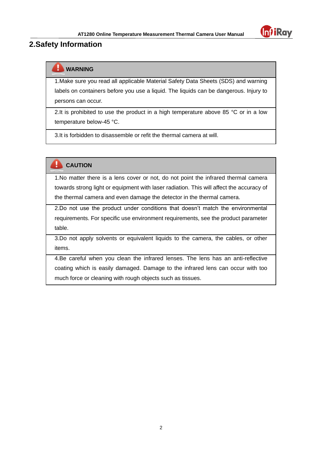

## <span id="page-4-0"></span>**2.Safety Information**

## **WARNING**

1.Make sure you read all applicable Material Safety Data Sheets (SDS) and warning labels on containers before you use a liquid. The liquids can be dangerous. Injury to persons can occur.

2.It is prohibited to use the product in a high temperature above 85  $^{\circ}$ C or in a low temperature below-45 °C.

3.It is forbidden to disassemble or refit the thermal camera at will.

**CAUTION** 

1.No matter there is a lens cover or not, do not point the infrared thermal camera towards strong light or equipment with laser radiation. This will affect the accuracy of the thermal camera and even damage the detector in the thermal camera.

2.Do not use the product under conditions that doesn't match the environmental requirements. For specific use environment requirements, see the product parameter table.

3.Do not apply solvents or equivalent liquids to the camera, the cables, or other items.

<span id="page-4-1"></span>4.Be careful when you clean the infrared lenses. The lens has an anti-reflective coating which is easily damaged. Damage to the infrared lens can occur with too much force or cleaning with rough objects such as tissues.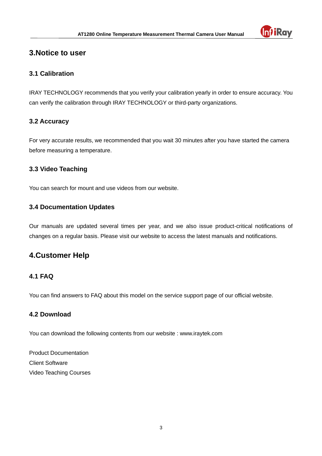

## **3.Notice to user**

#### <span id="page-5-0"></span>**3.1 Calibration**

IRAY TECHNOLOGY recommends that you verify your calibration yearly in order to ensure accuracy. You can verify the calibration through IRAY TECHNOLOGY or third-party organizations.

#### <span id="page-5-1"></span>**3.2 Accuracy**

For very accurate results, we recommended that you wait 30 minutes after you have started the camera before measuring a temperature.

#### <span id="page-5-2"></span>**3.3 Video Teaching**

You can search for mount and use videos from our website.

#### <span id="page-5-3"></span>**3.4 Documentation Updates**

Our manuals are updated several times per year, and we also issue product-critical notifications of changes on a regular basis. Please visit our website to access the latest manuals and notifications.

## <span id="page-5-4"></span>**4.Customer Help**

#### <span id="page-5-5"></span>**4.1 FAQ**

You can find answers to FAQ about this model on the service support page of our official website.

### <span id="page-5-6"></span>**4.2 Download**

You can download the following contents from our website : www.iraytek.com

<span id="page-5-7"></span>Product Documentation Client Software Video Teaching Courses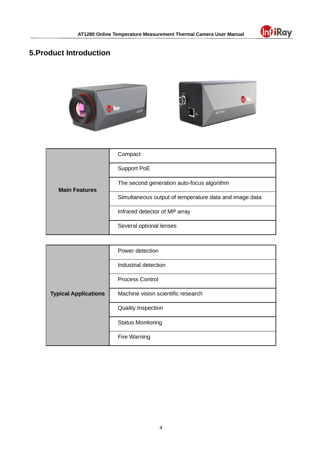

# **5.Product Introduction**



| <b>Main Features</b> | Compact                                                |
|----------------------|--------------------------------------------------------|
|                      | Support PoE                                            |
|                      | The second generation auto-focus algorithm             |
|                      | Simultaneous output of temperature data and image data |
|                      | Infrared detector of MP array                          |
|                      | Several optional lenses                                |

<span id="page-6-0"></span>

| <b>Typical Applications</b> | Power detection                    |
|-----------------------------|------------------------------------|
|                             | Industrial detection               |
|                             | <b>Process Control</b>             |
|                             | Machine vision scientific research |
|                             | <b>Quality Inspection</b>          |
|                             | <b>Status Monitoring</b>           |
|                             | Fire Warning                       |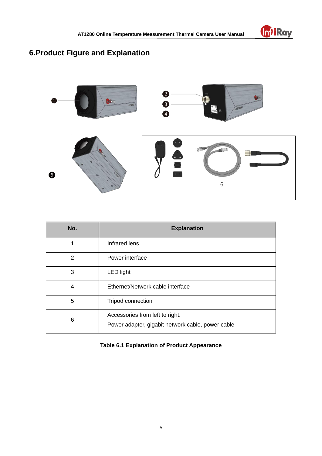

# **6.Product Figure and Explanation**



| No.            | <b>Explanation</b>                                                                   |
|----------------|--------------------------------------------------------------------------------------|
| 1              | Infrared lens                                                                        |
| $\overline{2}$ | Power interface                                                                      |
| 3              | <b>LED light</b>                                                                     |
| 4              | Ethernet/Network cable interface                                                     |
| 5              | Tripod connection                                                                    |
| 6              | Accessories from left to right:<br>Power adapter, gigabit network cable, power cable |

<span id="page-7-0"></span>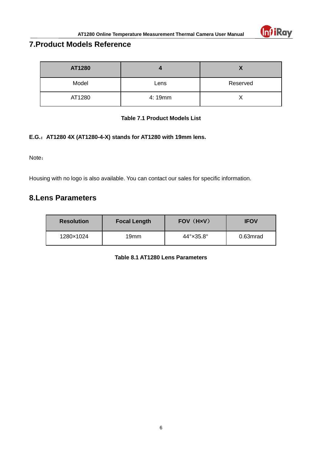

# **7.Product Models Reference**

| AT1280 |        |          |
|--------|--------|----------|
| Model  | Lens   | Reserved |
| AT1280 | 4:19mm |          |

#### **Table 7.1 Product Models List**

#### **E.G.**:**AT1280 4X (AT1280-4-X) stands for AT1280 with 19mm lens.**

Note:

Housing with no logo is also available. You can contact our sales for specific information.

## <span id="page-8-0"></span>**8.Lens Parameters**

<span id="page-8-1"></span>

| <b>Resolution</b> | <b>Focal Length</b> | FOV (HxV)                    | <b>IFOV</b> |
|-------------------|---------------------|------------------------------|-------------|
| 1280×1024         | 19 <sub>mm</sub>    | $44^\circ \times 35.8^\circ$ | 0.63mrad    |

**Table 8.1 AT1280 Lens Parameters**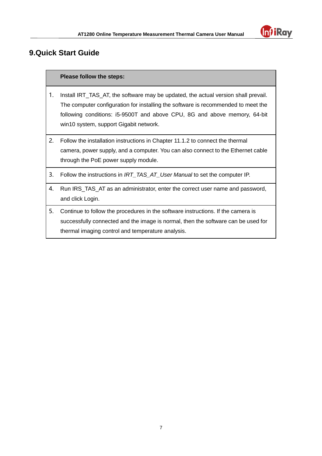

# **9.Quick Start Guide**

#### **Please follow the steps:**

- 1. Install IRT\_TAS\_AT, the software may be updated, the actual version shall prevail. The computer configuration for installing the software is recommended to meet the following conditions: i5-9500T and above CPU, 8G and above memory, 64-bit win10 system, support Gigabit network.
- 2. Follow the installation instructions in Chapter 11.1.2 to connect the thermal camera, power supply, and a computer. You can also connect to the Ethernet cable through the PoE power supply module.
- 3. Follow the instructions in *IRT\_TAS\_AT\_User Manual* to set the computer IP.
- 4. Run IRS\_TAS\_AT as an administrator, enter the correct user name and password, and click Login.
- <span id="page-9-0"></span>5. Continue to follow the procedures in the software instructions. If the camera is successfully connected and the image is normal, then the software can be used for thermal imaging control and temperature analysis.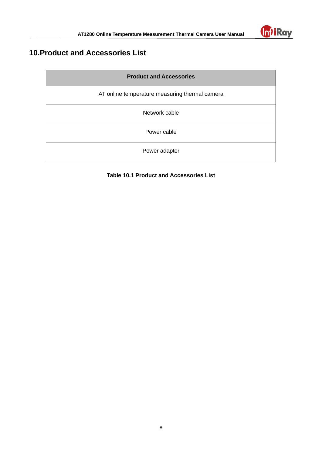

# **10.Product and Accessories List**

| <b>Product and Accessories</b>                 |  |
|------------------------------------------------|--|
| AT online temperature measuring thermal camera |  |
| Network cable                                  |  |
| Power cable                                    |  |
| Power adapter                                  |  |

## <span id="page-10-0"></span>**Table 10.1 Product and Accessories List**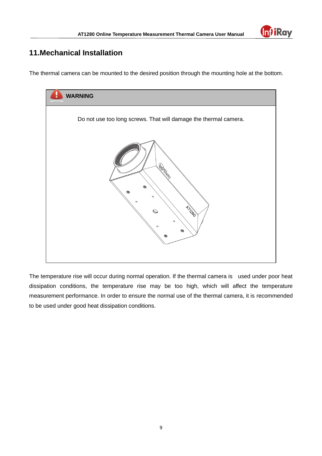

# **11.Mechanical Installation**

The thermal camera can be mounted to the desired position through the mounting hole at the bottom.



The temperature rise will occur during normal operation. If the thermal camera is used under poor heat dissipation conditions, the temperature rise may be too high, which will affect the temperature measurement performance. In order to ensure the normal use of the thermal camera, it is recommended to be used under good heat dissipation conditions.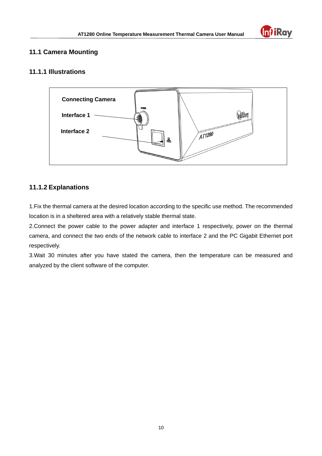

### <span id="page-12-0"></span>**11.1 Camera Mounting**

#### <span id="page-12-1"></span>**11.1.1 Illustrations**



### <span id="page-12-2"></span>**11.1.2 Explanations**

1.Fix the thermal camera at the desired location according to the specific use method. The recommended location is in a sheltered area with a relatively stable thermal state.

2.Connect the power cable to the power adapter and interface 1 respectively, power on the thermal camera, and connect the two ends of the network cable to interface 2 and the PC Gigabit Ethernet port respectively.

<span id="page-12-3"></span>3.Wait 30 minutes after you have stated the camera, then the temperature can be measured and analyzed by the client software of the computer.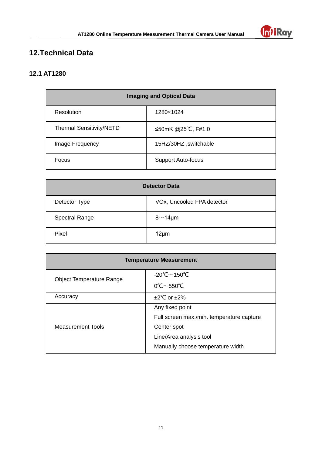

# **12.Technical Data**

## <span id="page-13-0"></span>**12.1 AT1280**

| <b>Imaging and Optical Data</b> |                           |  |
|---------------------------------|---------------------------|--|
| Resolution                      | 1280×1024                 |  |
| <b>Thermal Sensitivity/NETD</b> | ≤50mK @25°C, F#1.0        |  |
| Image Frequency                 | 15HZ/30HZ, switchable     |  |
| Focus                           | <b>Support Auto-focus</b> |  |

| <b>Detector Data</b>  |                            |
|-----------------------|----------------------------|
| Detector Type         | VOx, Uncooled FPA detector |
| <b>Spectral Range</b> | $8^{\sim}$ 14µm            |
| Pixel                 | $12 \mu m$                 |

| <b>Temperature Measurement</b>  |                                           |
|---------------------------------|-------------------------------------------|
| <b>Object Temperature Range</b> | -20°C $\sim$ 150°C                        |
|                                 | $0^{\circ}$ C $\sim$ 550 $^{\circ}$ C     |
| Accuracy                        | $\pm 2^{\circ}$ C or $\pm 2\%$            |
| <b>Measurement Tools</b>        | Any fixed point                           |
|                                 | Full screen max./min. temperature capture |
|                                 | Center spot                               |
|                                 | Line/Area analysis tool                   |
|                                 | Manually choose temperature width         |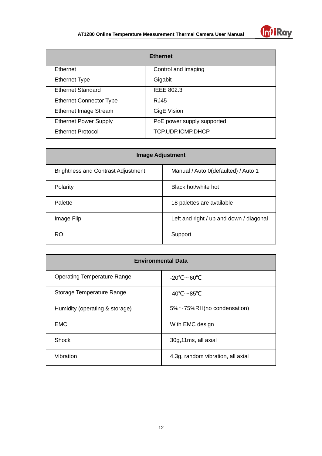

| <b>Ethernet</b>                |                            |
|--------------------------------|----------------------------|
| Ethernet                       | Control and imaging        |
| <b>Ethernet Type</b>           | Gigabit                    |
| <b>Ethernet Standard</b>       | <b>IEEE 802.3</b>          |
| <b>Ethernet Connector Type</b> | RJ45                       |
| <b>Ethernet Image Stream</b>   | <b>GigE Vision</b>         |
| <b>Ethernet Power Supply</b>   | PoE power supply supported |
| <b>Ethernet Protocol</b>       | TCP, UDP, ICMP, DHCP       |

| <b>Image Adjustment</b>                   |                                         |  |
|-------------------------------------------|-----------------------------------------|--|
| <b>Brightness and Contrast Adjustment</b> | Manual / Auto 0(defaulted) / Auto 1     |  |
| Polarity                                  | Black hot/white hot                     |  |
| Palette                                   | 18 palettes are available               |  |
| Image Flip                                | Left and right / up and down / diagonal |  |
| <b>ROI</b>                                | Support                                 |  |

| <b>Environmental Data</b>          |                                   |  |
|------------------------------------|-----------------------------------|--|
| <b>Operating Temperature Range</b> | -20°C $\sim$ 60°C                 |  |
| Storage Temperature Range          | -40°C $\sim$ 85°C                 |  |
| Humidity (operating & storage)     | $5\%$ ~75%RH(no condensation)     |  |
| <b>EMC</b>                         | With EMC design                   |  |
| Shock                              | 30g,11ms, all axial               |  |
| Vibration                          | 4.3g, random vibration, all axial |  |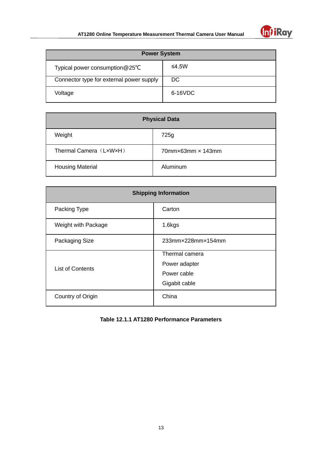

| <b>Power System</b>                       |         |  |
|-------------------------------------------|---------|--|
| Typical power consumption $@25^{\circ}$ C | ≤4.5W   |  |
| Connector type for external power supply  | DC.     |  |
| Voltage                                   | 6-16VDC |  |

| <b>Physical Data</b>    |                                      |  |
|-------------------------|--------------------------------------|--|
| Weight                  | 725g                                 |  |
| Thermal Camera (LxWxH)  | $70$ mm $\times$ 63mm $\times$ 143mm |  |
| <b>Housing Material</b> | Aluminum                             |  |

| <b>Shipping Information</b> |                   |  |
|-----------------------------|-------------------|--|
| Packing Type                | Carton            |  |
| Weight with Package         | 1.6kgs            |  |
| Packaging Size              | 233mm×228mm×154mm |  |
| <b>List of Contents</b>     | Thermal camera    |  |
|                             | Power adapter     |  |
|                             | Power cable       |  |
|                             | Gigabit cable     |  |
| Country of Origin           | China             |  |

<span id="page-15-0"></span>**Table 12.1.1 AT1280 Performance Parameters**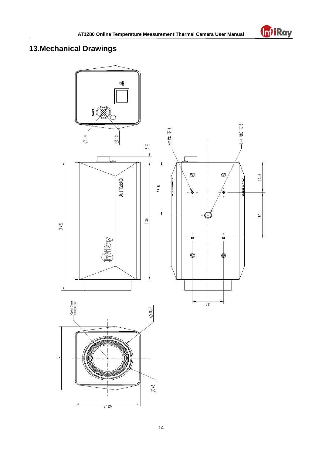

# **13.Mechanical Drawings**

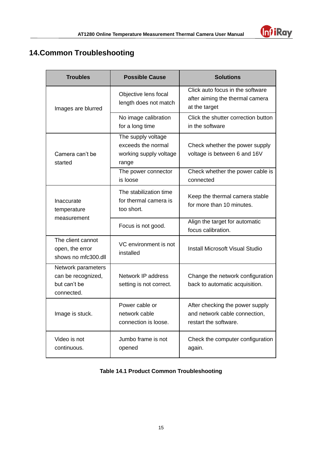

# <span id="page-17-0"></span>**14.Common Troubleshooting**

| <b>Troubles</b>                                                                                           | <b>Possible Cause</b>                                         | <b>Solutions</b>                                                                          |
|-----------------------------------------------------------------------------------------------------------|---------------------------------------------------------------|-------------------------------------------------------------------------------------------|
| Images are blurred                                                                                        | Objective lens focal<br>length does not match                 | Click auto focus in the software<br>after aiming the thermal camera<br>at the target      |
|                                                                                                           | No image calibration<br>for a long time                       | Click the shutter correction button<br>in the software                                    |
| The supply voltage<br>exceeds the normal<br>working supply voltage<br>Camera can't be<br>started<br>range |                                                               | Check whether the power supply<br>voltage is between 6 and 16V                            |
|                                                                                                           | The power connector<br>is loose                               | Check whether the power cable is<br>connected                                             |
| Inaccurate<br>temperature                                                                                 | The stabilization time<br>for thermal camera is<br>too short. | Keep the thermal camera stable<br>for more than 10 minutes.                               |
| measurement                                                                                               | Focus is not good.                                            | Align the target for automatic<br>focus calibration.                                      |
| The client cannot<br>open, the error<br>shows no mfc300.dll                                               | VC environment is not<br>installed                            | <b>Install Microsoft Visual Studio</b>                                                    |
| Network parameters<br>can be recognized,<br>but can't be<br>connected.                                    | Network IP address<br>setting is not correct.                 | Change the network configuration<br>back to automatic acquisition.                        |
| Image is stuck.                                                                                           | Power cable or<br>network cable<br>connection is loose.       | After checking the power supply<br>and network cable connection,<br>restart the software. |
| Video is not<br>continuous.                                                                               | Jumbo frame is not<br>opened                                  | Check the computer configuration<br>again.                                                |

#### <span id="page-17-1"></span>**Table 14.1 Product Common Troubleshooting**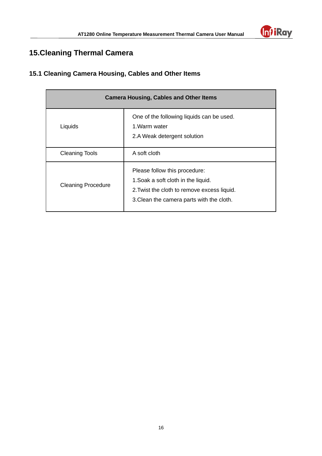

# **15.Cleaning Thermal Camera**

## <span id="page-18-0"></span>**15.1 Cleaning Camera Housing, Cables and Other Items**

<span id="page-18-1"></span>

| <b>Camera Housing, Cables and Other Items</b> |                                                                                                                                                                  |  |
|-----------------------------------------------|------------------------------------------------------------------------------------------------------------------------------------------------------------------|--|
| Liquids                                       | One of the following liquids can be used.<br>1 Warm water<br>2.A Weak detergent solution                                                                         |  |
| <b>Cleaning Tools</b>                         | A soft cloth                                                                                                                                                     |  |
| <b>Cleaning Procedure</b>                     | Please follow this procedure:<br>1. Soak a soft cloth in the liquid.<br>2. Twist the cloth to remove excess liquid.<br>3. Clean the camera parts with the cloth. |  |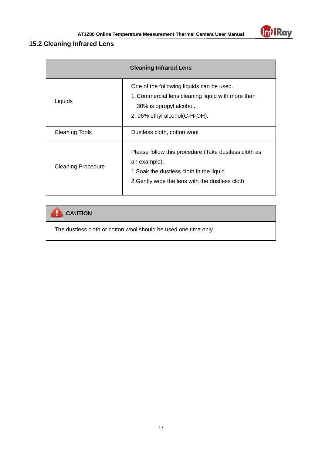

## **15.2 Cleaning Infrared Lens**

| <b>Cleaning Infrared Lens</b> |                                                                                                                                                                      |  |
|-------------------------------|----------------------------------------------------------------------------------------------------------------------------------------------------------------------|--|
| Liquids                       | One of the following liquids can be used.<br>1. Commercial lens cleaning liquid with more than<br>30% is opropyl alcohol.<br>2. 96% ethyl alcohol( $C_2H_5OH$ ).     |  |
| <b>Cleaning Tools</b>         | Dustless cloth, cotton wool                                                                                                                                          |  |
| <b>Cleaning Procedure</b>     | Please follow this procedure (Take dustless cloth as<br>an example).<br>1. Soak the dustless cloth in the liquid.<br>2. Gently wipe the lens with the dustless cloth |  |

# **CAUTION**

<span id="page-19-0"></span>The dustless cloth or cotton wool should be used one time only.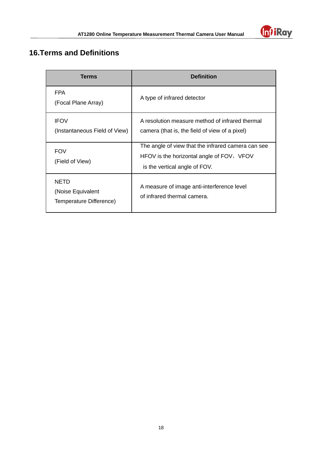

# **16.Terms and Definitions**

<span id="page-20-0"></span>

| <b>Terms</b>                                                | <b>Definition</b>                                                                                                                |  |
|-------------------------------------------------------------|----------------------------------------------------------------------------------------------------------------------------------|--|
| <b>FPA</b><br>(Focal Plane Array)                           | A type of infrared detector                                                                                                      |  |
| <b>IFOV</b><br>(Instantaneous Field of View)                | A resolution measure method of infrared thermal<br>camera (that is, the field of view of a pixel)                                |  |
| <b>FOV</b><br>(Field of View)                               | The angle of view that the infrared camera can see<br>HFOV is the horizontal angle of FOV, VFOV<br>is the vertical angle of FOV. |  |
| <b>NETD</b><br>(Noise Equivalent<br>Temperature Difference) | A measure of image anti-interference level<br>of infrared thermal camera.                                                        |  |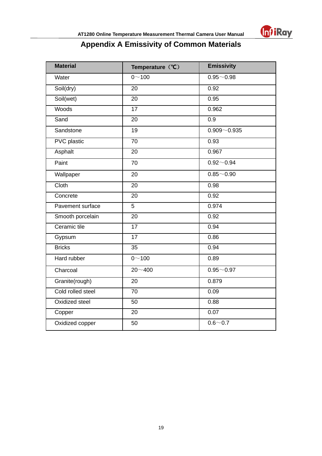

# **Appendix A Emissivity of Common Materials**

| <b>Material</b>    | Temperature (°C) | <b>Emissivity</b> |
|--------------------|------------------|-------------------|
| Water              | $0 - 100$        | $0.95 - 0.98$     |
| Soil(dry)          | 20               | 0.92              |
| Soil(wet)          | 20               | 0.95              |
| Woods              | 17               | 0.962             |
| Sand               | 20               | 0.9               |
| Sandstone          | 19               | $0.909 - 0.935$   |
| <b>PVC</b> plastic | $\overline{70}$  | 0.93              |
| Asphalt            | 20               | 0.967             |
| Paint              | 70               | $0.92 - 0.94$     |
| Wallpaper          | 20               | $0.85 - 0.90$     |
| Cloth              | 20               | 0.98              |
| Concrete           | 20               | 0.92              |
| Pavement surface   | 5                | 0.974             |
| Smooth porcelain   | 20               | 0.92              |
| Ceramic tile       | $\overline{17}$  | 0.94              |
| Gypsum             | $\overline{17}$  | 0.86              |
| <b>Bricks</b>      | 35               | 0.94              |
| Hard rubber        | $0 - 100$        | 0.89              |
| Charcoal           | $20 - 400$       | $0.95 - 0.97$     |
| Granite(rough)     | 20               | 0.879             |
| Cold rolled steel  | $\overline{70}$  | 0.09              |
| Oxidized steel     | 50               | 0.88              |
| Copper             | 20               | 0.07              |
| Oxidized copper    | 50               | $0.6 - 0.7$       |